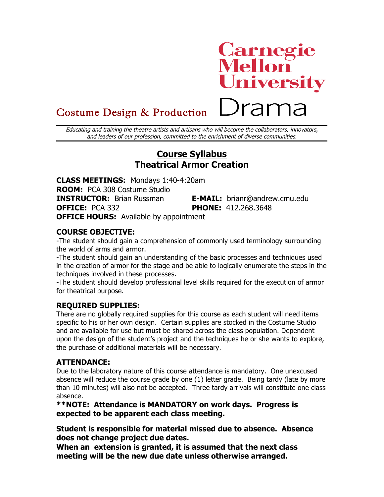# **Carnegie<br>Mellon<br>University** Drama

# Costume Design & Production

Educating and training the theatre artists and artisans who will become the collaborators, innovators, and leaders of our profession, committed to the enrichment of diverse communities.

# **Course Syllabus Theatrical Armor Creation**

**CLASS MEETINGS:** Mondays 1:40-4:20am **ROOM:** PCA 308 Costume Studio **INSTRUCTOR:** Brian Russman **E-MAIL:** brianr@andrew.cmu.edu **OFFICE:** PCA 332 **PHONE:** 412.268.3648

**OFFICE HOURS:** Available by appointment

## **COURSE OBJECTIVE:**

-The student should gain a comprehension of commonly used terminology surrounding the world of arms and armor.

-The student should gain an understanding of the basic processes and techniques used in the creation of armor for the stage and be able to logically enumerate the steps in the techniques involved in these processes.

-The student should develop professional level skills required for the execution of armor for theatrical purpose.

## **REQUIRED SUPPLIES:**

There are no globally required supplies for this course as each student will need items specific to his or her own design. Certain supplies are stocked in the Costume Studio and are available for use but must be shared across the class population. Dependent upon the design of the student's project and the techniques he or she wants to explore, the purchase of additional materials will be necessary.

## **ATTENDANCE:**

Due to the laboratory nature of this course attendance is mandatory. One unexcused absence will reduce the course grade by one (1) letter grade. Being tardy (late by more than 10 minutes) will also not be accepted. Three tardy arrivals will constitute one class absence.

**\*\*NOTE: Attendance is MANDATORY on work days. Progress is expected to be apparent each class meeting.**

**Student is responsible for material missed due to absence. Absence does not change project due dates.**

**When an extension is granted, it is assumed that the next class meeting will be the new due date unless otherwise arranged.**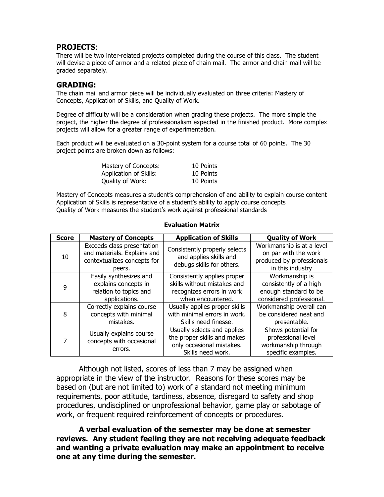#### **PROJECTS**:

There will be two inter-related projects completed during the course of this class. The student will devise a piece of armor and a related piece of chain mail. The armor and chain mail will be graded separately.

#### **GRADING:**

The chain mail and armor piece will be individually evaluated on three criteria: Mastery of Concepts, Application of Skills, and Quality of Work.

Degree of difficulty will be a consideration when grading these projects. The more simple the project, the higher the degree of professionalism expected in the finished product. More complex projects will allow for a greater range of experimentation.

Each product will be evaluated on a 30-point system for a course total of 60 points. The 30 project points are broken down as follows:

| Mastery of Concepts:   | 10 Points |
|------------------------|-----------|
| Application of Skills: | 10 Points |
| Quality of Work:       | 10 Points |

Mastery of Concepts measures a student's comprehension of and ability to explain course content Application of Skills is representative of a student's ability to apply course concepts Quality of Work measures the student's work against professional standards

| <b>Score</b> | <b>Mastery of Concepts</b>                                                                         | <b>Application of Skills</b>                                                                                 | <b>Quality of Work</b>                                                                             |
|--------------|----------------------------------------------------------------------------------------------------|--------------------------------------------------------------------------------------------------------------|----------------------------------------------------------------------------------------------------|
| 10           | Exceeds class presentation<br>and materials. Explains and<br>contextualizes concepts for<br>peers. | Consistently properly selects<br>and applies skills and<br>debugs skills for others.                         | Workmanship is at a level<br>on par with the work<br>produced by professionals<br>in this industry |
| 9            | Easily synthesizes and<br>explains concepts in<br>relation to topics and<br>applications.          | Consistently applies proper<br>skills without mistakes and<br>recognizes errors in work<br>when encountered. | Workmanship is<br>consistently of a high<br>enough standard to be<br>considered professional.      |
| 8            | Correctly explains course<br>concepts with minimal<br>mistakes.                                    | Usually applies proper skills<br>with minimal errors in work.<br>Skills need finesse.                        | Workmanship overall can<br>be considered neat and<br>presentable.                                  |
| 7            | Usually explains course<br>concepts with occasional<br>errors.                                     | Usually selects and applies<br>the proper skills and makes<br>only occasional mistakes.<br>Skills need work. | Shows potential for<br>professional level<br>workmanship through<br>specific examples.             |

#### **Evaluation Matrix**

Although not listed, scores of less than 7 may be assigned when appropriate in the view of the instructor. Reasons for these scores may be based on (but are not limited to) work of a standard not meeting minimum requirements, poor attitude, tardiness, absence, disregard to safety and shop procedures, undisciplined or unprofessional behavior, game play or sabotage of work, or frequent required reinforcement of concepts or procedures.

**A verbal evaluation of the semester may be done at semester reviews. Any student feeling they are not receiving adequate feedback and wanting a private evaluation may make an appointment to receive one at any time during the semester.**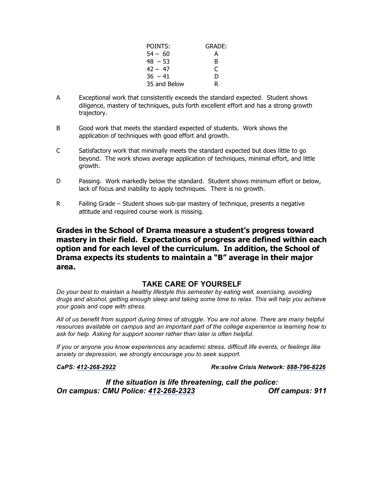| POINTS:      | GRADE: |
|--------------|--------|
| $54 - 60$    | А      |
| $48 - 53$    | B      |
| $42 - 47$    |        |
| $36 - 41$    | D      |
| 35 and Below | R      |

- A Exceptional work that consistently exceeds the standard expected. Student shows diligence, mastery of techniques, puts forth excellent effort and has a strong growth trajectory.
- B Good work that meets the standard expected of students. Work shows the application of techniques with good effort and growth.
- C Satisfactory work that minimally meets the standard expected but does little to go beyond. The work shows average application of techniques, minimal effort, and little growth.
- D Passing. Work markedly below the standard. Student shows minimum effort or below, lack of focus and inability to apply techniques. There is no growth.
- R Failing Grade Student shows sub-par mastery of technique, presents a negative attitude and required course work is missing.

**Grades in the School of Drama measure a student's progress toward mastery in their field. Expectations of progress are defined within each option and for each level of the curriculum. In addition, the School of Drama expects its students to maintain a "B" average in their major area.**

#### **TAKE CARE OF YOURSELF**

*Do your best to maintain a healthy lifestyle this semester by eating well, exercising, avoiding drugs and alcohol, getting enough sleep and taking some time to relax. This will help you achieve your goals and cope with stress.*

*All of us benefit from support during times of struggle. You are not alone. There are many helpful resources available on campus and an important part of the college experience is learning how to ask for help. Asking for support sooner rather than later is often helpful.*

*If you or anyone you know experiences any academic stress, difficult life events, or feelings like anxiety or depression, we strongly encourage you to seek support.* 

*CaPS: 412-268-2922 Re:solve Crisis Network: 888-796-8226*

*If the situation is life threatening, call the police: On campus: CMU Police: 412-268-2323 Off campus: 911*